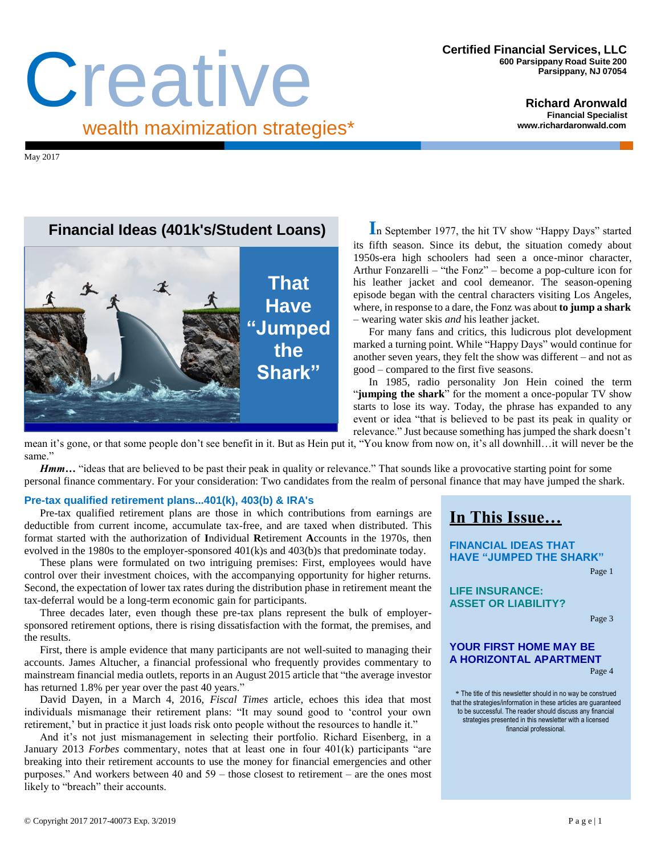# Certified Financial Services, LLC<br>
600 Parsippany Road Suite 200<br>
Parsippany, NJ 07054<br>
Richard Aronwald wealth maximization strategies\*

**Richard Aronwald Financial Specialist [www.richardaronwald.com](http://www.richardaronwald.com/)**

May 2017

## **Financial Ideas (401k's/Student Loans)**



**I**n September 1977, the hit TV show "Happy Days" started its fifth season. Since its debut, the situation comedy about 1950s-era high schoolers had seen a once-minor character, Arthur Fonzarelli – "the Fonz" – become a pop-culture icon for his leather jacket and cool demeanor. The season-opening episode began with the central characters visiting Los Angeles, where, in response to a dare, the Fonz was about **to jump a shark** – wearing water skis *and* his leather jacket.

For many fans and critics, this ludicrous plot development marked a turning point. While "Happy Days" would continue for another seven years, they felt the show was different – and not as good – compared to the first five seasons.

In 1985, radio personality Jon Hein coined the term "**jumping the shark**" for the moment a once-popular TV show starts to lose its way. Today, the phrase has expanded to any event or idea "that is believed to be past its peak in quality or relevance." Just because something has jumped the shark doesn't

mean it's gone, or that some people don't see benefit in it. But as Hein put it, "You know from now on, it's all downhill…it will never be the same."

*Hmm...* "ideas that are believed to be past their peak in quality or relevance." That sounds like a provocative starting point for some personal finance commentary. For your consideration: Two candidates from the realm of personal finance that may have jumped the shark.

#### **Pre-tax qualified retirement plans...401(k), 403(b) & IRA's**

Pre-tax qualified retirement plans are those in which contributions from earnings are deductible from current income, accumulate tax-free, and are taxed when distributed. This format started with the authorization of **I**ndividual **R**etirement **A**ccounts in the 1970s, then evolved in the 1980s to the employer-sponsored 401(k)s and 403(b)s that predominate today.

These plans were formulated on two intriguing premises: First, employees would have control over their investment choices, with the accompanying opportunity for higher returns. Second, the expectation of lower tax rates during the distribution phase in retirement meant the tax-deferral would be a long-term economic gain for participants.

Three decades later, even though these pre-tax plans represent the bulk of employersponsored retirement options, there is rising dissatisfaction with the format, the premises, and the results.

First, there is ample evidence that many participants are not well-suited to managing their accounts. James Altucher, a financial professional who frequently provides commentary to mainstream financial media outlets, reports in an August 2015 article that "the average investor has returned 1.8% per year over the past 40 years."

David Dayen, in a March 4, 2016, *Fiscal Times* article, echoes this idea that most individuals mismanage their retirement plans: "It may sound good to 'control your own retirement,' but in practice it just loads risk onto people without the resources to handle it."

And it's not just mismanagement in selecting their portfolio. Richard Eisenberg, in a January 2013 *Forbes* commentary, notes that at least one in four 401(k) participants "are breaking into their retirement accounts to use the money for financial emergencies and other purposes." And workers between 40 and 59 – those closest to retirement – are the ones most likely to "breach" their accounts.

## **In This Issue…**

**FINANCIAL IDEAS THAT HAVE "JUMPED THE SHARK"**

Page 1

**LIFE INSURANCE: ASSET OR LIABILITY?**

Page 3

### **YOUR FIRST HOME MAY BE A HORIZONTAL APARTMENT**

Page 4

\* The title of this newsletter should in no way be construed that the strategies/information in these articles are guaranteed to be successful. The reader should discuss any financial strategies presented in this newsletter with a licensed financial professional.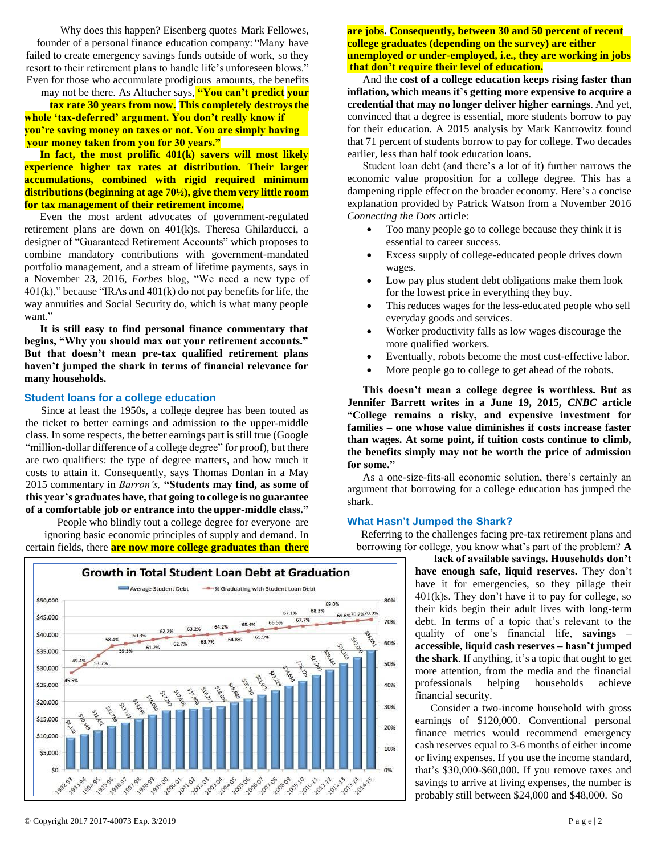Why does this happen? Eisenberg quotes Mark Fellowes, founder of a personal finance education company: "Many have failed to create emergency savings funds outside of work, so they resort to their retirement plans to handle life's unforeseen blows." Even for those who accumulate prodigious amounts, the benefits

may not be there. As Altucher says, **"You can't predict your tax rate 30 years from now. This completely destroysthe your money taken from you for 30 years." whole 'tax-deferred' argument. You don't really know if you're saving money on taxes or not. You are simply having**

**In fact, the most prolific 401(k) savers will most likely experience higher tax rates at distribution. Their larger accumulations, combined with rigid required minimum distributions (beginning at age 70½), give them very little room for tax management of their retirement income.**

Even the most ardent advocates of government-regulated retirement plans are down on 401(k)s. Theresa Ghilarducci, a designer of "Guaranteed Retirement Accounts" which proposes to combine mandatory contributions with government-mandated portfolio management, and a stream of lifetime payments, says in a November 23, 2016, *Forbes* blog, "We need a new type of  $401(k)$ ," because "IRAs and  $401(k)$  do not pay benefits for life, the way [annuities a](http://www.nextavenue.org/annuities-in-retirement-a-true-guarantee/)nd Social Security do, which is what many people [want."](http://www.nytimes.com/2014/06/07/your-money/Annuities-provide-retirement-income-guaranteed.html?_r=0)

**It is still easy to find personal finance commentary that begins, "Why you should max out your retirement accounts." But that doesn't mean pre-tax qualified retirement plans haven't jumped the shark in terms of financial relevance for many households.**

#### **Student loans for a college education**

Since at least the 1950s, a college degree has been touted as the ticket to better earnings and admission to the upper-middle class. In some respects, the better earnings part is still true (Google "million-dollar difference of a college degree" for proof), but there are two qualifiers: the type of degree matters, and how much it costs to attain it. Consequently, says Thomas Donlan in a May 2015 commentary in *Barron's,* **"Students may find, as some of this year's graduates have, that going to college is no guarantee of a comfortable job or entrance into the upper-middle class."**

People who blindly tout a college degree for everyone are ignoring basic economic principles of supply and demand. In certain fields, there **are now more college graduates than there**



#### **are jobs. Consequently, between 30 and 50 percent of recent that don't require their level of education. college graduates (depending on the survey) are either unemployed or under-employed, i.e., they are working in jobs**

And the **cost of a college education keeps rising faster than inflation, which means it's getting more expensive to acquire a credential that may no longer deliver higher earnings**. And yet, convinced that a degree is essential, more students borrow to pay for their education. A 2015 analysis by Mark Kantrowitz found that 71 percent of students borrow to pay for college. Two decades earlier, less than half took education loans.

Student loan debt (and there's a lot of it) further narrows the economic value proposition for a college degree. This has a dampening ripple effect on the broader economy. Here's a concise explanation provided by Patrick Watson from a November 2016 *Connecting the Dots* article:

- Too many people go to college because they think it is essential to career success.
- Excess supply of college-educated people drives down wages.
- Low pay plus student debt obligations make them look for the lowest price in everything they buy.
- This reduces wages for the less-educated people who sell everyday goods and services.
- Worker productivity falls as low wages discourage the more qualified workers.
- Eventually, robots become the most cost-effective labor.
- More people go to college to get ahead of the robots.

**This doesn't mean a college degree is worthless. But as Jennifer Barrett writes in a June 19, 2015,** *CNBC* **article "College remains a risky, and expensive investment for families – one whose value diminishes if costs increase faster than wages. At some point, if tuition costs continue to climb, the benefits simply may not be worth the price of admission for some."**

As a one-size-fits-all economic solution, there's certainly an argument that borrowing for a college education has jumped the shark.

#### **What Hasn't Jumped the Shark?**

Referring to the challenges facing pre-tax retirement plans and borrowing for college, you know what's part of the problem? **A**

> **lack of available savings. Households don't have enough safe, liquid reserves.** They don't have it for emergencies, so they pillage their  $401(k)$ s. They don't have it to pay for college, so their kids begin their adult lives with long-term debt. In terms of a topic that's relevant to the quality of one's financial life, **savings – accessible, liquid cash reserves – hasn't jumped the shark**. If anything, it's a topic that ought to get more attention, from the media and the financial professionals helping households achieve financial security.

> Consider a two-income household with gross earnings of \$120,000. Conventional personal finance metrics would recommend emergency cash reserves equal to 3-6 months of either income or living expenses. If you use the income standard, that's \$30,000-\$60,000. If you remove taxes and savings to arrive at living expenses, the number is probably still between \$24,000 and \$48,000. So

#### © Copyright 2017 2017-40073 Exp. 3/2019 P a g e | 2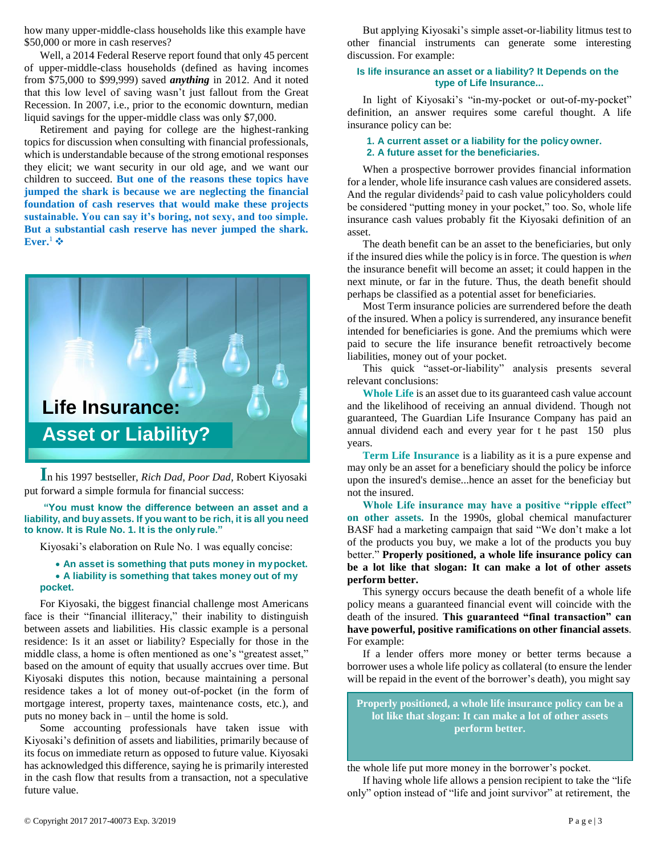how many upper-middle-class households like this example have \$50,000 or more in cash reserves?

Well, a 2014 Federal Reserve report found that only 45 percent of upper-middle-class households (defined as having incomes from \$75,000 to \$99,999) saved *anything* in 2012. And it noted that this low level of saving wasn't just fallout from the Great Recession. In 2007, i.e., prior to the economic downturn, median liquid savings for the upper-middle class was only \$7,000.

Retirement and paying for college are the highest-ranking topics for discussion when consulting with financial professionals, which is understandable because of the strong emotional responses they elicit; we want security in our old age, and we want our children to succeed. **But one of the reasons these topics have jumped the shark is because we are neglecting the financial foundation of cash reserves that would make these projects sustainable. You can say it's boring, not sexy, and too simple. But a substantial cash reserve has never jumped the shark. Ever.**<sup>1</sup> ❖



**I**n his 1997 bestseller, *Rich Dad, Poor Dad*, Robert Kiyosaki put forward a simple formula for financial success:

**"You must know the difference between an asset and a liability, and buy assets. If you want to be rich, it is all you need to know. It is Rule No. 1. It is the only rule."**

Kiyosaki's elaboration on Rule No. 1 was equally concise:

#### • **An asset is something that puts money in mypocket.** • **A liability is something that takes money out of my pocket.**

For Kiyosaki, the biggest financial challenge most Americans face is their "financial illiteracy," their inability to distinguish between assets and liabilities. His classic example is a personal residence: Is it an asset or liability? Especially for those in the middle class, a home is often mentioned as one's "greatest asset," based on the amount of equity that usually accrues over time. But Kiyosaki disputes this notion, because maintaining a personal residence takes a lot of money out-of-pocket (in the form of mortgage interest, property taxes, maintenance costs, etc.), and puts no money back in – until the home is sold.

Some accounting professionals have taken issue with Kiyosaki's definition of assets and liabilities, primarily because of its focus on immediate return as opposed to future value. Kiyosaki has acknowledged this difference, saying he is primarily interested in the cash flow that results from a transaction, not a speculative future value.

But applying Kiyosaki's simple asset-or-liability litmus test to other financial instruments can generate some interesting discussion. For example:

#### **Is life insurance an asset or a liability? It Depends on the type of Life Insurance...**

In light of Kiyosaki's "in-my-pocket or out-of-my-pocket" definition, an answer requires some careful thought. A life insurance policy can be:

#### **1. A current asset or a liability for the policy owner. 2. A future asset for the beneficiaries.**

When a prospective borrower provides financial information for a lender, whole life insurance cash values are considered assets. And the regular dividends $2$  paid to cash value policyholders could be considered "putting money in your pocket," too. So, whole life insurance cash values probably fit the Kiyosaki definition of an asset.

The death benefit can be an asset to the beneficiaries, but only if the insured dies while the policy isin force. The question is *when*  the insurance benefit will become an asset; it could happen in the next minute, or far in the future. Thus, the death benefit should perhaps be classified as a potential asset for beneficiaries.

Most Term insurance policies are surrendered before the death of the insured. When a policy is surrendered, any insurance benefit intended for beneficiaries is gone. And the premiums which were paid to secure the life insurance benefit retroactively become liabilities, money out of your pocket.

This quick "asset-or-liability" analysis presents several relevant conclusions:

**Whole Life** is an asset due to its guaranteed cash value account and the likelihood of receiving an annual dividend. Though not guaranteed, The Guardian Life Insurance Company has paid an annual dividend each and every year for t he past 150 plus years.

**Term Life Insurance** is a liability as it is a pure expense and may only be an asset for a beneficiary should the policy be inforce upon the insured's demise...hence an asset for the beneficiay but not the insured.

**Whole Life insurance may have a positive "ripple effect" on other assets.** In the 1990s, global chemical manufacturer BASF had a marketing campaign that said "We don't make a lot of the products you buy, we make a lot of the products you buy better." **Properly positioned, a whole life insurance policy can be a lot like that slogan: It can make a lot of other assets perform better.**

This synergy occurs because the death benefit of a whole life policy means a guaranteed financial event will coincide with the death of the insured. **This guaranteed "final transaction" can have powerful, positive ramifications on other financial assets**. For example:

If a lender offers more money or better terms because a borrower uses a whole life policy as collateral (to ensure the lender will be repaid in the event of the borrower's death), you might say

**Properly positioned, a whole life insurance policy can be a lot like that slogan: It can make a lot of other assets perform better.**

the whole life put more money in the borrower's pocket.

If having whole life allows a pension recipient to take the "life only" option instead of "life and joint survivor" at retirement, the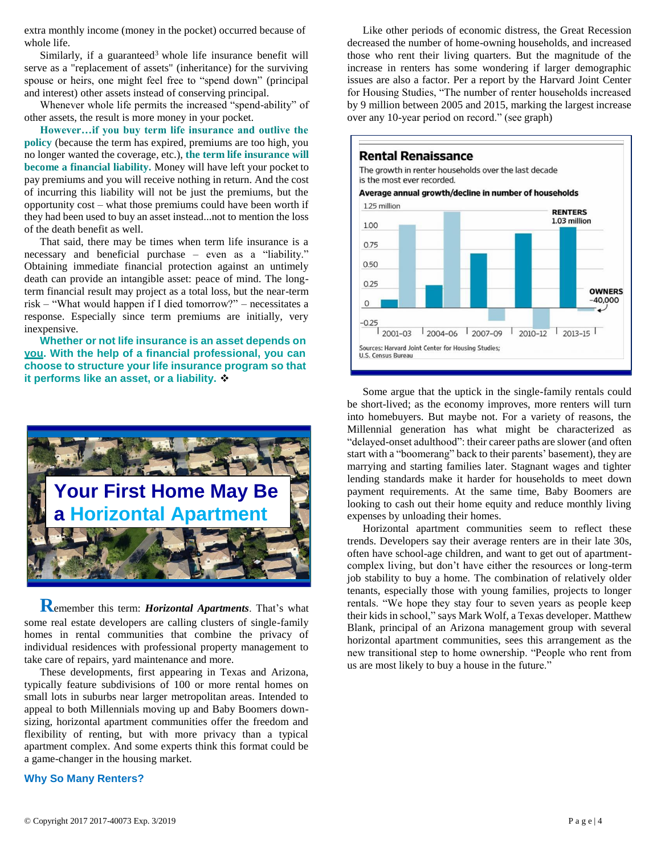extra monthly income (money in the pocket) occurred because of whole life.

Similarly, if a guaranteed<sup>3</sup> whole life insurance benefit will serve as a "replacement of assets" (inheritance) for the surviving spouse or heirs, one might feel free to "spend down" (principal and interest) other assets instead of conserving principal.

Whenever whole life permits the increased "spend-ability" of other assets, the result is more money in your pocket.

**However…if you buy term life insurance and outlive the policy** (because the term has expired, premiums are too high, you no longer wanted the coverage, etc.), **the term life insurance will become a financial liability.** Money will have left your pocket to pay premiums and you will receive nothing in return. And the cost of incurring this liability will not be just the premiums, but the opportunity cost – what those premiums could have been worth if they had been used to buy an asset instead...not to mention the loss of the death benefit as well.

That said, there may be times when term life insurance is a necessary and beneficial purchase – even as a "liability." Obtaining immediate financial protection against an untimely death can provide an intangible asset: peace of mind. The longterm financial result may project as a total loss, but the near-term risk – "What would happen if I died tomorrow?" – necessitates a response. Especially since term premiums are initially, very inexpensive.

**Whether or not life insurance is an asset depends on you. With the help of a financial professional, you can choose to structure your life insurance program so that it performs like an asset, or a liability.** ❖



**R**emember this term: *Horizontal Apartments*. That's what some real estate developers are calling clusters of single-family homes in rental communities that combine the privacy of individual residences with professional property management to take care of repairs, yard maintenance and more.

These developments, first appearing in Texas and Arizona, typically feature subdivisions of 100 or more rental homes on small lots in suburbs near larger metropolitan areas. Intended to appeal to both Millennials moving up and Baby Boomers downsizing, horizontal apartment communities offer the freedom and flexibility of renting, but with more privacy than a typical apartment complex. And some experts think this format could be a game-changer in the housing market.

#### **Why So Many Renters?**

Like other periods of economic distress, the Great Recession decreased the number of home-owning households, and increased those who rent their living quarters. But the magnitude of the increase in renters has some wondering if larger demographic issues are also a factor. Per a report by the Harvard Joint Center for Housing Studies, "The number of renter households increased by 9 million between 2005 and 2015, marking the largest increase over any 10-year period on record." (see graph)



Some argue that the uptick in the single-family rentals could be short-lived; as the economy improves, more renters will turn into homebuyers. But maybe not. For a variety of reasons, the Millennial generation has what might be characterized as "delayed-onset adulthood": their career paths are slower (and often start with a "boomerang" back to their parents' basement), they are marrying and starting families later. Stagnant wages and tighter lending standards make it harder for households to meet down payment requirements. At the same time, Baby Boomers are looking to cash out their home equity and reduce monthly living expenses by unloading their homes.

Horizontal apartment communities seem to reflect these trends. Developers say their average renters are in their late 30s, often have school-age children, and want to get out of apartmentcomplex living, but don't have either the resources or long-term job stability to buy a home. The combination of relatively older tenants, especially those with young families, projects to longer rentals. "We hope they stay four to seven years as people keep their kids in school," says Mark Wolf, a Texas developer. Matthew Blank, principal of an Arizona management group with several horizontal apartment communities, sees this arrangement as the new transitional step to home ownership. "People who rent from us are most likely to buy a house in the future."